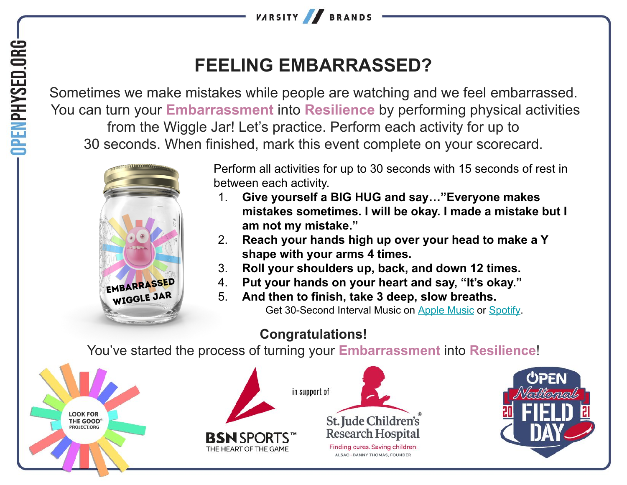

## **FEELING EMBARRASSED?**

Sometimes we make mistakes while people are watching and we feel embarrassed. You can turn your **Embarrassment** into **Resilience** by performing physical activities from the Wiggle Jar! Let's practice. Perform each activity for up to 30 seconds. When finished, mark this event complete on your scorecard.



Perform all activities for up to 30 seconds with 15 seconds of rest in between each activity.

- 1. **Give yourself a BIG HUG and say…"Everyone makes mistakes sometimes. I will be okay. I made a mistake but I am not my mistake."**
- 2. **Reach your hands high up over your head to make a Y shape with your arms 4 times.**
- 3. **Roll your shoulders up, back, and down 12 times.**
- 4. **Put your hands on your heart and say, "It's okay."**
- 5. **And then to finish, take 3 deep, slow breaths.** Get 30-Second Interval Music on [Apple Music](https://music.apple.com/us/album/hhd-30-second-intervals-with-15-second-breaks/553186898?i=553186900) or [Spotify](https://open.spotify.com/track/1sHvWHLbTXwzx9IEPdS7RH?si=49e962017fc040ef).

## **Congratulations!**

You've started the process of turning your **Embarrassment** into **Resilience**!